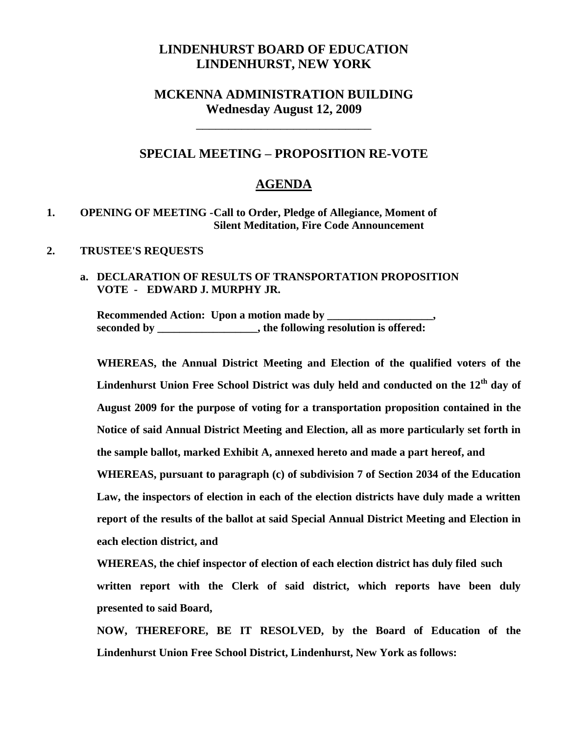# **LINDENHURST BOARD OF EDUCATION LINDENHURST, NEW YORK**

## **MCKENNA ADMINISTRATION BUILDING Wednesday August 12, 2009**

\_\_\_\_\_\_\_\_\_\_\_\_\_\_\_\_\_\_\_\_\_\_\_\_\_\_\_

## **SPECIAL MEETING – PROPOSITION RE-VOTE**

### **AGENDA**

#### **1. OPENING OF MEETING -Call to Order, Pledge of Allegiance, Moment of Silent Meditation, Fire Code Announcement**

#### **2. TRUSTEE'S REQUESTS**

### **a. DECLARATION OF RESULTS OF TRANSPORTATION PROPOSITION VOTE - EDWARD J. MURPHY JR.**

Recommended Action: Upon a motion made by **seconded by \_\_\_\_\_\_\_\_\_\_\_\_\_\_\_\_\_\_, the following resolution is offered:**

**WHEREAS, the Annual District Meeting and Election of the qualified voters of the Lindenhurst Union Free School District was duly held and conducted on the 12th day of August 2009 for the purpose of voting for a transportation proposition contained in the Notice of said Annual District Meeting and Election, all as more particularly set forth in the sample ballot, marked Exhibit A, annexed hereto and made a part hereof, and WHEREAS, pursuant to paragraph (c) of subdivision 7 of Section 2034 of the Education Law, the inspectors of election in each of the election districts have duly made a written report of the results of the ballot at said Special Annual District Meeting and Election in each election district, and**

**WHEREAS, the chief inspector of election of each election district has duly filed such written report with the Clerk of said district, which reports have been duly presented to said Board,**

**NOW, THEREFORE, BE IT RESOLVED, by the Board of Education of the Lindenhurst Union Free School District, Lindenhurst, New York as follows:**